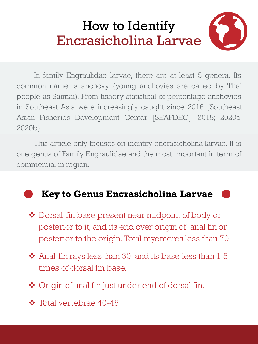## How to Identify Encrasicholina Larvae

In family Engraulidae larvae, there are at least 5 genera. Its common name is anchovy (young anchovies are called by Thai people as Saimai). From fishery statistical of percentage anchovies in Southeast Asia were increasingly caught since 2016 (Southeast Asian Fisheries Development Center [SEAFDEC], 2018; 2020a; 2020b).

This article only focuses on identify encrasicholina larvae. It is one genus of Family Engraulidae and the most important in term of commercial in region.

## **Key to Genus Encrasicholina Larvae**

- ❖ Dorsal-fin base present near midpoint of body or posterior to it, and its end over origin of anal fin or posterior to the origin. Total myomeres less than 70
- ❖ Anal-fin rays less than 30, and its base less than 1.5 times of dorsal fin base.
- ❖ Origin of anal fin just under end of dorsal fin.
- ❖ Total vertebrae 40-45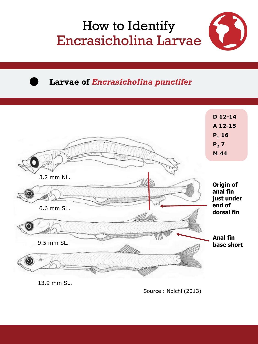



**Larvae of** *Encrasicholina punctifer*



Source: Noichi (2013)